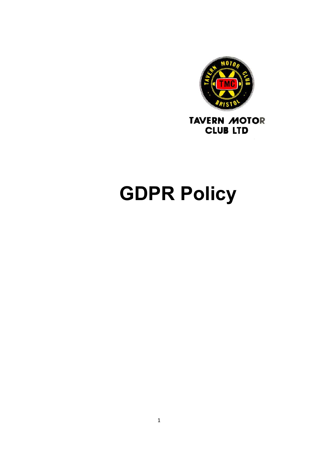

# GDPR Policy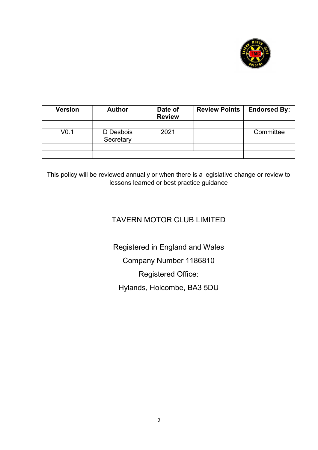

| <b>Version</b>   | <b>Author</b>          | Date of<br><b>Review</b> | <b>Review Points</b> | <b>Endorsed By:</b> |
|------------------|------------------------|--------------------------|----------------------|---------------------|
|                  |                        |                          |                      |                     |
| V <sub>0.1</sub> | D Desbois<br>Secretary | 2021                     |                      | Committee           |
|                  |                        |                          |                      |                     |
|                  |                        |                          |                      |                     |

This policy will be reviewed annually or when there is a legislative change or review to lessons learned or best practice guidance

### TAVERN MOTOR CLUB LIMITED

Registered in England and Wales Company Number 1186810 Registered Office: Hylands, Holcombe, BA3 5DU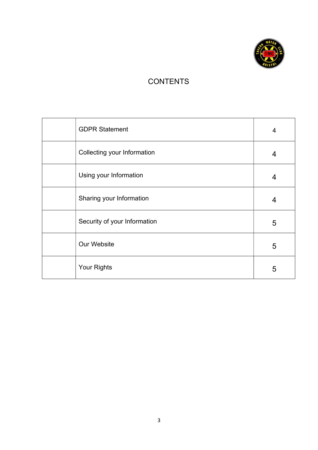

## **CONTENTS**

| <b>GDPR Statement</b>        | 4 |
|------------------------------|---|
| Collecting your Information  | 4 |
| Using your Information       | 4 |
| Sharing your Information     | 4 |
| Security of your Information | 5 |
| Our Website                  | 5 |
| Your Rights                  | 5 |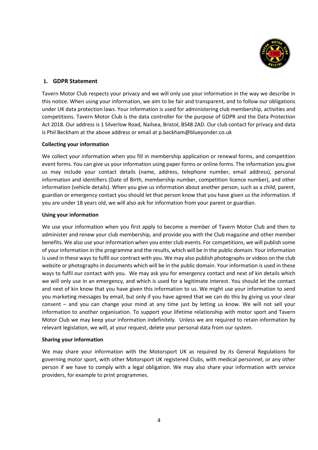

#### 1. GDPR Statement

Tavern Motor Club respects your privacy and we will only use your information in the way we describe in this notice. When using your information, we aim to be fair and transparent, and to follow our obligations under UK data protection laws. Your information is used for administering club membership, activities and competitions. Tavern Motor Club is the data controller for the purpose of GDPR and the Data Protection Act 2018. Our address is 1 Silverlow Road, Nailsea, Bristol, BS48 2AD. Our club contact for privacy and data is Phil Beckham at the above address or email at p.beckham@blueyonder.co.uk

#### Collecting your information

We collect your information when you fill in membership application or renewal forms, and competition event forms. You can give us your information using paper forms or online forms. The information you give us may include your contact details (name, address, telephone number, email address), personal information and identifiers (Date of Birth, membership number, competition licence number), and other information (vehicle details). When you give us information about another person, such as a child, parent, guardian or emergency contact you should let that person know that you have given us the information. If you are under 18 years old, we will also ask for information from your parent or guardian.

#### Using your information

We use your information when you first apply to become a member of Tavern Motor Club and then to administer and renew your club membership, and provide you with the Club magazine and other member benefits. We also use your information when you enter club events. For competitions, we will publish some of your information in the programme and the results, which will be in the public domain. Your information is used in these ways to fulfil our contract with you. We may also publish photographs or videos on the club website or photographs in documents which will be in the public domain. Your information is used in these ways to fulfil our contact with you. We may ask you for emergency contact and next of kin details which we will only use in an emergency, and which is used for a legitimate interest. You should let the contact and next of kin know that you have given this information to us. We might use your information to send you marketing messages by email, but only if you have agreed that we can do this by giving us your clear consent – and you can change your mind at any time just by letting us know. We will not sell your information to another organisation. To support your lifetime relationship with motor sport and Tavern Motor Club we may keep your information indefinitely. Unless we are required to retain information by relevant legislation, we will, at your request, delete your personal data from our system.

#### Sharing your information

We may share your information with the Motorsport UK as required by its General Regulations for governing motor sport, with other Motorsport UK registered Clubs, with medical personnel, or any other person if we have to comply with a legal obligation. We may also share your information with service providers, for example to print programmes.